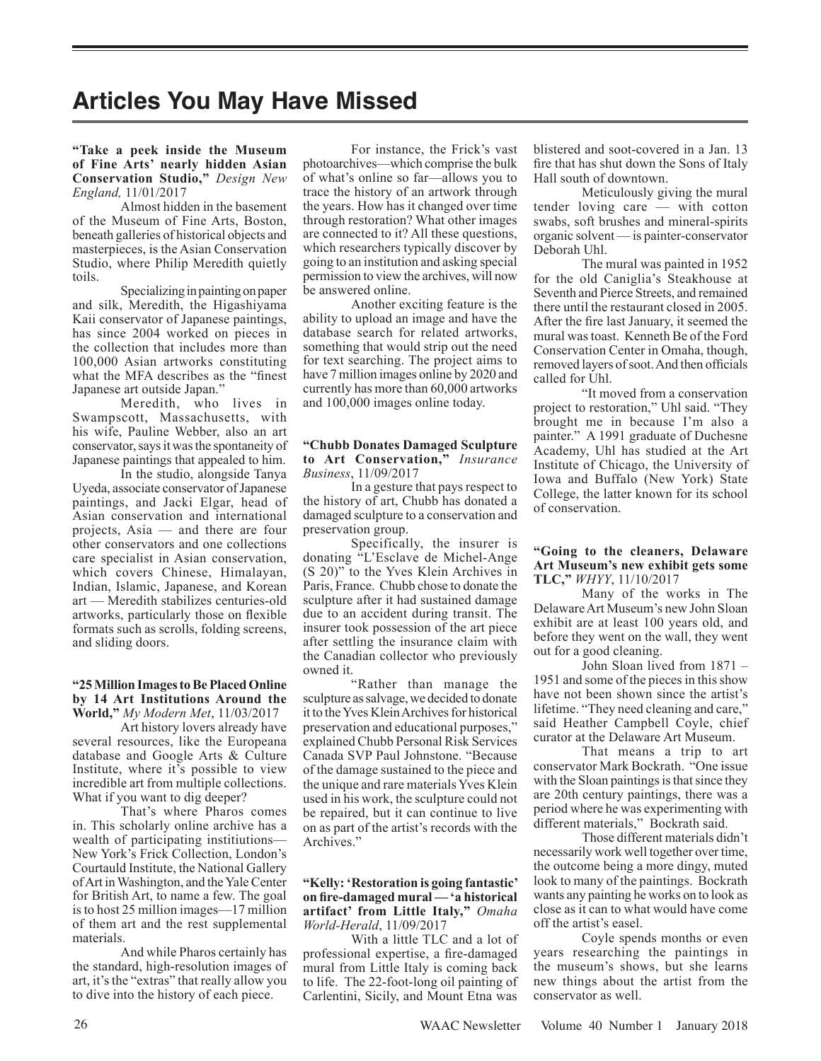# **Articles You May Have Missed**

# **"Take a peek inside the Museum of Fine Arts' nearly hidden Asian Conservation Studio,"** *Design New England,* 11/01/2017

Almost hidden in the basement of the Museum of Fine Arts, Boston, beneath galleries of historical objects and masterpieces, is the Asian Conservation Studio, where Philip Meredith quietly toils.

Specializing in painting on paper and silk, Meredith, the Higashiyama Kaii conservator of Japanese paintings, has since 2004 worked on pieces in the collection that includes more than 100,000 Asian artworks constituting what the MFA describes as the "finest Japanese art outside Japan.'

Meredith, who lives in Swampscott, Massachusetts, with his wife, Pauline Webber, also an art conservator, says it was the spontaneity of Japanese paintings that appealed to him.

In the studio, alongside Tanya Uyeda, associate conservator of Japanese paintings, and Jacki Elgar, head of Asian conservation and international projects, Asia — and there are four other conservators and one collections care specialist in Asian conservation, which covers Chinese, Himalayan, Indian, Islamic, Japanese, and Korean art — Meredith stabilizes centuries-old artworks, particularly those on flexible formats such as scrolls, folding screens, and sliding doors.

### **"25 Million Images to Be Placed Online by 14 Art Institutions Around the World,"** *My Modern Met*, 11/03/2017

Art history lovers already have several resources, like the Europeana database and Google Arts & Culture Institute, where it's possible to view incredible art from multiple collections. What if you want to dig deeper?

That's where Pharos comes in. This scholarly online archive has a wealth of participating institiutions— New York's Frick Collection, London's Courtauld Institute, the National Gallery of Art in Washington, and the Yale Center for British Art, to name a few. The goal is to host 25 million images—17 million of them art and the rest supplemental materials.

And while Pharos certainly has the standard, high-resolution images of art, it's the "extras" that really allow you to dive into the history of each piece.

For instance, the Frick's vast photoarchives—which comprise the bulk of what's online so far—allows you to trace the history of an artwork through the years. How has it changed over time through restoration? What other images are connected to it? All these questions, which researchers typically discover by going to an institution and asking special permission to view the archives, will now be answered online.

Another exciting feature is the ability to upload an image and have the database search for related artworks, something that would strip out the need for text searching. The project aims to have 7 million images online by 2020 and currently has more than 60,000 artworks and 100,000 images online today.

#### **"Chubb Donates Damaged Sculpture to Art Conservation,"** *Insurance Business*, 11/09/2017

In a gesture that pays respect to the history of art, Chubb has donated a damaged sculpture to a conservation and preservation group.

Specifically, the insurer is donating "L'Esclave de Michel-Ange (S 20)" to the Yves Klein Archives in Paris, France. Chubb chose to donate the sculpture after it had sustained damage due to an accident during transit. The insurer took possession of the art piece after settling the insurance claim with the Canadian collector who previously owned it.

"Rather than manage the sculpture as salvage, we decided to donate it to the Yves Klein Archives for historical preservation and educational purposes," explained Chubb Personal Risk Services Canada SVP Paul Johnstone. "Because of the damage sustained to the piece and the unique and rare materials Yves Klein used in his work, the sculpture could not be repaired, but it can continue to live on as part of the artist's records with the Archives."

#### **"Kelly: 'Restoration is going fantastic' on fire-damaged mural — 'a historical artifact' from Little Italy,"** *Omaha World-Herald*, 11/09/2017

With a little TLC and a lot of professional expertise, a fire-damaged mural from Little Italy is coming back to life. The 22-foot-long oil painting of Carlentini, Sicily, and Mount Etna was blistered and soot-covered in a Jan. 13 fire that has shut down the Sons of Italy Hall south of downtown.

Meticulously giving the mural tender loving care — with cotton swabs, soft brushes and mineral-spirits organic solvent — is painter-conservator Deborah Uhl.

The mural was painted in 1952 for the old Caniglia's Steakhouse at Seventh and Pierce Streets, and remained there until the restaurant closed in 2005. After the fire last January, it seemed the mural was toast. Kenneth Be of the Ford Conservation Center in Omaha, though, removed layers of soot. And then officials called for Uhl.

"It moved from a conservation project to restoration," Uhl said. "They brought me in because I'm also a painter." A 1991 graduate of Duchesne Academy, Uhl has studied at the Art Institute of Chicago, the University of Iowa and Buffalo (New York) State College, the latter known for its school of conservation.

# **"Going to the cleaners, Delaware Art Museum's new exhibit gets some TLC,"** *WHYY*, 11/10/2017

Many of the works in The Delaware Art Museum's new John Sloan exhibit are at least 100 years old, and before they went on the wall, they went out for a good cleaning.

John Sloan lived from 1871 – 1951 and some of the pieces in this show have not been shown since the artist's lifetime. "They need cleaning and care," said Heather Campbell Coyle, chief curator at the Delaware Art Museum.

That means a trip to art conservator Mark Bockrath. "One issue with the Sloan paintings is that since they are 20th century paintings, there was a period where he was experimenting with different materials," Bockrath said.

Those different materials didn't necessarily work well together over time, the outcome being a more dingy, muted look to many of the paintings. Bockrath wants any painting he works on to look as close as it can to what would have come off the artist's easel.

Coyle spends months or even years researching the paintings in the museum's shows, but she learns new things about the artist from the conservator as well.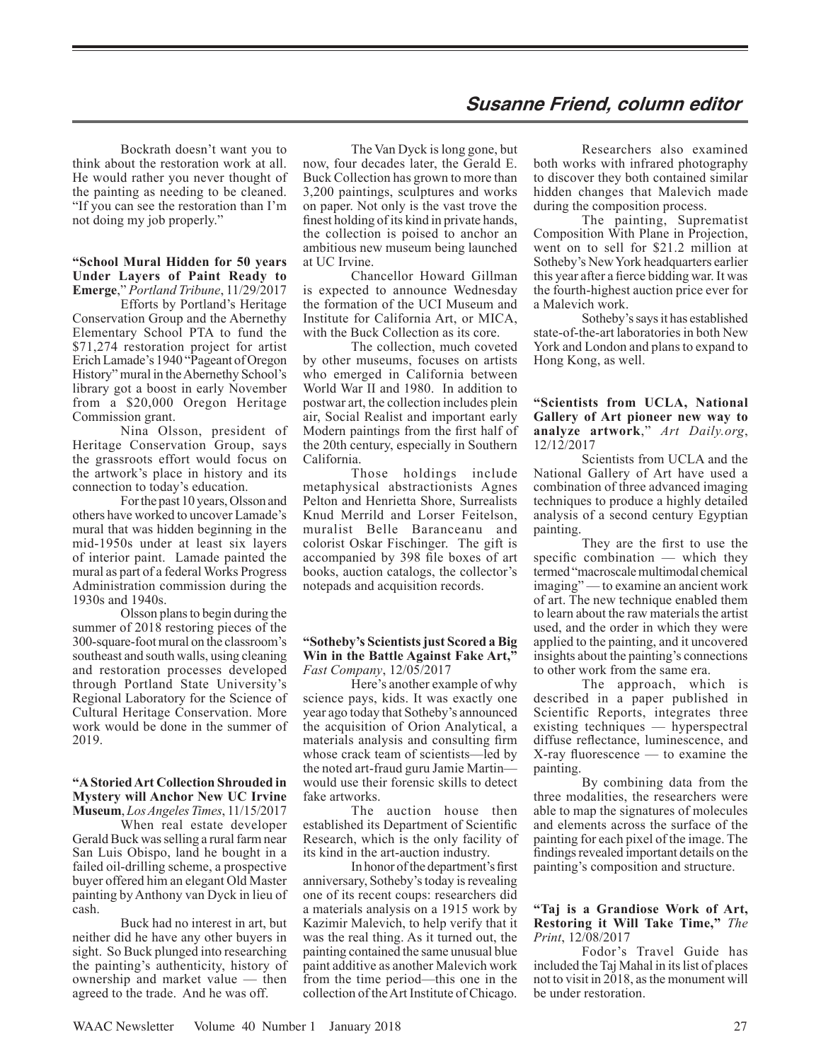# **Susanne Friend, column editor**

Bockrath doesn't want you to think about the restoration work at all. He would rather you never thought of the painting as needing to be cleaned. "If you can see the restoration than I'm not doing my job properly."

# **"School Mural Hidden for 50 years Under Layers of Paint Ready to Emerge**," *Portland Tribune*, 11/29/2017

Efforts by Portland's Heritage Conservation Group and the Abernethy Elementary School PTA to fund the \$71,274 restoration project for artist Erich Lamade's 1940 "Pageant of Oregon History" mural in the Abernethy School's library got a boost in early November from a \$20,000 Oregon Heritage Commission grant.

Nina Olsson, president of Heritage Conservation Group, says the grassroots effort would focus on the artwork's place in history and its connection to today's education.

For the past 10 years, Olsson and others have worked to uncover Lamade's mural that was hidden beginning in the mid-1950s under at least six layers of interior paint. Lamade painted the mural as part of a federal Works Progress Administration commission during the 1930s and 1940s.

Olsson plans to begin during the summer of 2018 restoring pieces of the 300-square-foot mural on the classroom's southeast and south walls, using cleaning and restoration processes developed through Portland State University's Regional Laboratory for the Science of Cultural Heritage Conservation. More work would be done in the summer of 2019.

#### **"A Storied Art Collection Shrouded in Mystery will Anchor New UC Irvine Museum**, *Los Angeles Times*, 11/15/2017

When real estate developer Gerald Buck was selling a rural farm near San Luis Obispo, land he bought in a failed oil-drilling scheme, a prospective buyer offered him an elegant Old Master painting by Anthony van Dyck in lieu of cash.

Buck had no interest in art, but neither did he have any other buyers in sight. So Buck plunged into researching the painting's authenticity, history of ownership and market value — then agreed to the trade. And he was off.

The Van Dyck is long gone, but now, four decades later, the Gerald E. Buck Collection has grown to more than 3,200 paintings, sculptures and works on paper. Not only is the vast trove the finest holding of its kind in private hands, the collection is poised to anchor an ambitious new museum being launched at UC Irvine.

Chancellor Howard Gillman is expected to announce Wednesday the formation of the UCI Museum and Institute for California Art, or MICA, with the Buck Collection as its core.

The collection, much coveted by other museums, focuses on artists who emerged in California between World War II and 1980. In addition to postwar art, the collection includes plein air, Social Realist and important early Modern paintings from the first half of the 20th century, especially in Southern California.

Those holdings include metaphysical abstractionists Agnes Pelton and Henrietta Shore, Surrealists Knud Merrild and Lorser Feitelson, muralist Belle Baranceanu and colorist Oskar Fischinger. The gift is accompanied by 398 file boxes of art books, auction catalogs, the collector's notepads and acquisition records.

#### **"Sotheby's Scientists just Scored a Big Win in the Battle Against Fake Art,"** *Fast Company*, 12/05/2017

Here's another example of why science pays, kids. It was exactly one year ago today that Sotheby's announced the acquisition of Orion Analytical, a materials analysis and consulting firm whose crack team of scientists—led by the noted art-fraud guru Jamie Martin would use their forensic skills to detect fake artworks.

The auction house then established its Department of Scientific Research, which is the only facility of its kind in the art-auction industry.

In honor of the department's first anniversary, Sotheby's today is revealing one of its recent coups: researchers did a materials analysis on a 1915 work by Kazimir Malevich, to help verify that it was the real thing. As it turned out, the painting contained the same unusual blue paint additive as another Malevich work from the time period—this one in the collection of the Art Institute of Chicago.

Researchers also examined both works with infrared photography to discover they both contained similar hidden changes that Malevich made during the composition process.

The painting, Suprematist Composition With Plane in Projection, went on to sell for \$21.2 million at Sotheby's New York headquarters earlier this year after a fierce bidding war. It was the fourth-highest auction price ever for a Malevich work.

Sotheby's says it has established state-of-the-art laboratories in both New York and London and plans to expand to Hong Kong, as well.

# **"Scientists from UCLA, National Gallery of Art pioneer new way to analyze artwork**," *Art Daily.org*, 12/12/2017

Scientists from UCLA and the National Gallery of Art have used a combination of three advanced imaging techniques to produce a highly detailed analysis of a second century Egyptian painting.

They are the first to use the specific combination — which they termed "macroscale multimodal chemical imaging" — to examine an ancient work of art. The new technique enabled them to learn about the raw materials the artist used, and the order in which they were applied to the painting, and it uncovered insights about the painting's connections to other work from the same era.

The approach, which is described in a paper published in Scientific Reports, integrates three existing techniques — hyperspectral diffuse reflectance, luminescence, and X-ray fluorescence — to examine the painting.

By combining data from the three modalities, the researchers were able to map the signatures of molecules and elements across the surface of the painting for each pixel of the image. The findings revealed important details on the painting's composition and structure.

#### **"Taj is a Grandiose Work of Art, Restoring it Will Take Time,"** *The Print*, 12/08/2017

Fodor's Travel Guide has included the Taj Mahal in its list of places not to visit in 2018, as the monument will be under restoration.